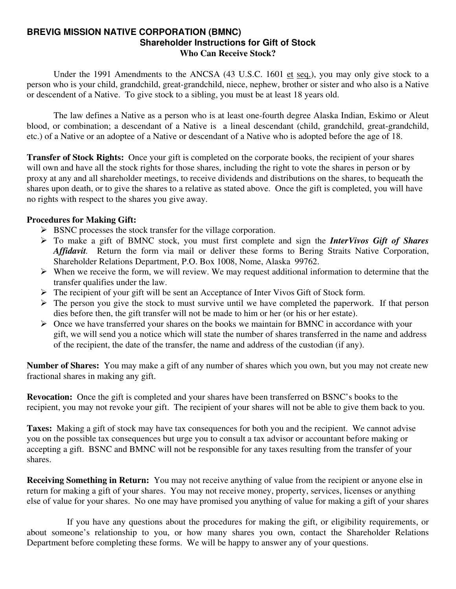#### **BREVIG MISSION NATIVE CORPORATION (BMNC) Shareholder Instructions for Gift of Stock Who Can Receive Stock?**

Under the 1991 Amendments to the ANCSA (43 U.S.C. 1601 et seq.), you may only give stock to a person who is your child, grandchild, great-grandchild, niece, nephew, brother or sister and who also is a Native or descendent of a Native. To give stock to a sibling, you must be at least 18 years old.

 The law defines a Native as a person who is at least one-fourth degree Alaska Indian, Eskimo or Aleut blood, or combination; a descendant of a Native is a lineal descendant (child, grandchild, great-grandchild, etc.) of a Native or an adoptee of a Native or descendant of a Native who is adopted before the age of 18.

**Transfer of Stock Rights:** Once your gift is completed on the corporate books, the recipient of your shares will own and have all the stock rights for those shares, including the right to vote the shares in person or by proxy at any and all shareholder meetings, to receive dividends and distributions on the shares, to bequeath the shares upon death, or to give the shares to a relative as stated above. Once the gift is completed, you will have no rights with respect to the shares you give away.

#### **Procedures for Making Gift:**

- $\triangleright$  BSNC processes the stock transfer for the village corporation.
- ¾ To make a gift of BMNC stock, you must first complete and sign the *InterVivos Gift of Shares Affidavit.* Return the form via mail or deliver these forms to Bering Straits Native Corporation, Shareholder Relations Department, P.O. Box 1008, Nome, Alaska 99762.
- $\triangleright$  When we receive the form, we will review. We may request additional information to determine that the transfer qualifies under the law.
- $\triangleright$  The recipient of your gift will be sent an Acceptance of Inter Vivos Gift of Stock form.
- $\triangleright$  The person you give the stock to must survive until we have completed the paperwork. If that person dies before then, the gift transfer will not be made to him or her (or his or her estate).
- $\triangleright$  Once we have transferred your shares on the books we maintain for BMNC in accordance with your gift, we will send you a notice which will state the number of shares transferred in the name and address of the recipient, the date of the transfer, the name and address of the custodian (if any).

**Number of Shares:** You may make a gift of any number of shares which you own, but you may not create new fractional shares in making any gift.

**Revocation:** Once the gift is completed and your shares have been transferred on BSNC's books to the recipient, you may not revoke your gift. The recipient of your shares will not be able to give them back to you.

**Taxes:** Making a gift of stock may have tax consequences for both you and the recipient. We cannot advise you on the possible tax consequences but urge you to consult a tax advisor or accountant before making or accepting a gift. BSNC and BMNC will not be responsible for any taxes resulting from the transfer of your shares.

**Receiving Something in Return:** You may not receive anything of value from the recipient or anyone else in return for making a gift of your shares. You may not receive money, property, services, licenses or anything else of value for your shares. No one may have promised you anything of value for making a gift of your shares

 If you have any questions about the procedures for making the gift, or eligibility requirements, or about someone's relationship to you, or how many shares you own, contact the Shareholder Relations Department before completing these forms. We will be happy to answer any of your questions.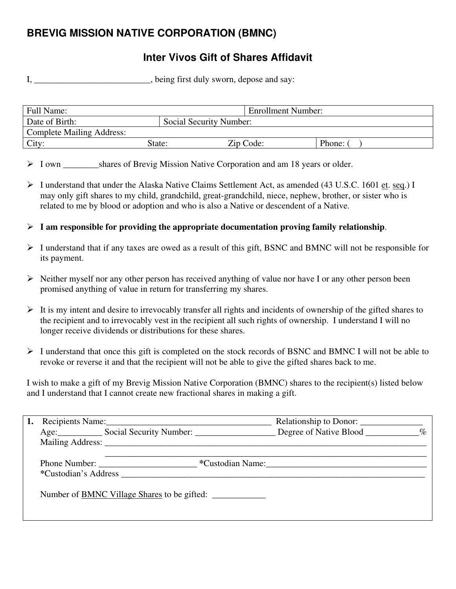# **BREVIG MISSION NATIVE CORPORATION (BMNC)**

## **Inter Vivos Gift of Shares Affidavit**

I, \_\_\_\_\_\_\_\_\_\_\_\_\_\_\_\_\_\_\_\_\_\_, being first duly sworn, depose and say:

| Full Name:                       |                         | Enrollment Number: |        |
|----------------------------------|-------------------------|--------------------|--------|
| Date of Birth:                   | Social Security Number: |                    |        |
| <b>Complete Mailing Address:</b> |                         |                    |        |
| City:                            | State:                  | Zip Code:          | Phone: |

> I own shares of Brevig Mission Native Corporation and am 18 years or older.

- ¾ I understand that under the Alaska Native Claims Settlement Act, as amended (43 U.S.C. 1601 et. seq.) I may only gift shares to my child, grandchild, great-grandchild, niece, nephew, brother, or sister who is related to me by blood or adoption and who is also a Native or descendent of a Native.
- $\triangleright$  **I** am responsible for providing the appropriate documentation proving family relationship.
- $\triangleright$  I understand that if any taxes are owed as a result of this gift, BSNC and BMNC will not be responsible for its payment.
- $\triangleright$  Neither myself nor any other person has received anything of value nor have I or any other person been promised anything of value in return for transferring my shares.
- $\triangleright$  It is my intent and desire to irrevocably transfer all rights and incidents of ownership of the gifted shares to the recipient and to irrevocably vest in the recipient all such rights of ownership. I understand I will no longer receive dividends or distributions for these shares.
- ¾ I understand that once this gift is completed on the stock records of BSNC and BMNC I will not be able to revoke or reverse it and that the recipient will not be able to give the gifted shares back to me.

I wish to make a gift of my Brevig Mission Native Corporation (BMNC) shares to the recipient(s) listed below and I understand that I cannot create new fractional shares in making a gift.

|  | Recipients Name: 1988. [19] Recipients Name:             | Relationship to Donor: |  |
|--|----------------------------------------------------------|------------------------|--|
|  | Age: Social Security Number: Degree of Native Blood 1997 |                        |  |
|  |                                                          |                        |  |
|  | Phone Number:<br>*Custodian's Address <b>Example 20</b>  | *Custodian Name:       |  |
|  | Number of <u>BMNC Village Shares</u> to be gifted:       |                        |  |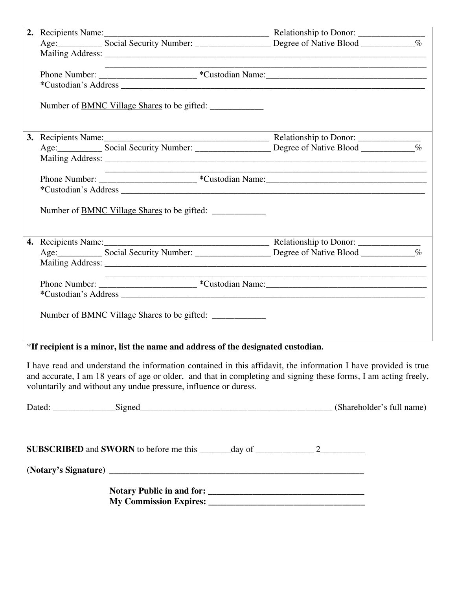|  | the control of the control of the control of the control of the control of |  |
|--|----------------------------------------------------------------------------|--|
|  |                                                                            |  |
|  |                                                                            |  |
|  | Number of <u>BMNC Village Shares</u> to be gifted:                         |  |
|  |                                                                            |  |
|  |                                                                            |  |
|  |                                                                            |  |
|  |                                                                            |  |
|  |                                                                            |  |
|  |                                                                            |  |
|  | Number of <u>BMNC Village Shares</u> to be gifted:                         |  |
|  |                                                                            |  |
|  |                                                                            |  |
|  |                                                                            |  |
|  |                                                                            |  |
|  |                                                                            |  |
|  |                                                                            |  |
|  | Number of <u>BMNC Village Shares</u> to be gifted:                         |  |

## \***If recipient is a minor, list the name and address of the designated custodian.**

I have read and understand the information contained in this affidavit, the information I have provided is true and accurate, I am 18 years of age or older, and that in completing and signing these forms, I am acting freely, voluntarily and without any undue pressure, influence or duress.

| Dated: Signed Contains Signed Contains and Signed Contains a series of the series of the Signed Contains and Signed Contains a series of the series of the series of the series of the series of the series of the series of t |  | (Shareholder's full name) |
|--------------------------------------------------------------------------------------------------------------------------------------------------------------------------------------------------------------------------------|--|---------------------------|
| <b>SUBSCRIBED</b> and <b>SWORN</b> to before me this $\_\_\_\_\_$ day of $\_\_\_\_\_\_$ 2                                                                                                                                      |  |                           |
|                                                                                                                                                                                                                                |  |                           |
| My Commission Expires: 2008. The Commission Expires:                                                                                                                                                                           |  |                           |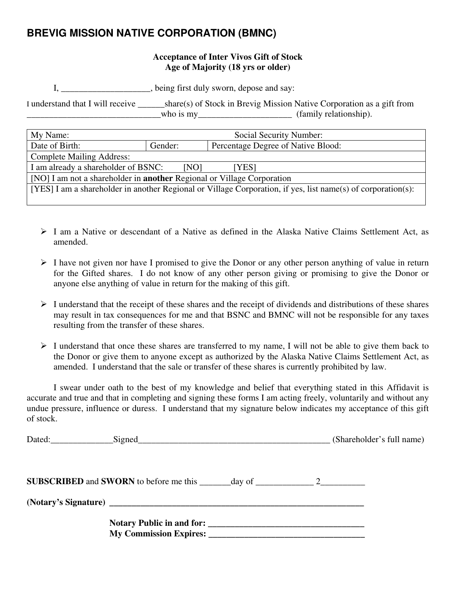## **BREVIG MISSION NATIVE CORPORATION (BMNC)**

#### **Acceptance of Inter Vivos Gift of Stock Age of Majority (18 yrs or older)**

I, \_\_\_\_\_\_\_\_\_\_\_\_\_\_\_\_\_\_\_\_, being first duly sworn, depose and say:

I understand that I will receive \_\_\_\_\_\_share(s) of Stock in Brevig Mission Native Corporation as a gift from \_\_\_\_\_\_\_\_\_\_\_\_\_\_\_\_\_\_\_\_\_\_\_\_\_\_\_\_\_\_who is my\_\_\_\_\_\_\_\_\_\_\_\_\_\_\_\_\_\_\_\_\_ (family relationship).

| My Name:                                                                                                     | Social Security Number: |                                    |  |
|--------------------------------------------------------------------------------------------------------------|-------------------------|------------------------------------|--|
| Date of Birth:                                                                                               | Gender:                 | Percentage Degree of Native Blood: |  |
| <b>Complete Mailing Address:</b>                                                                             |                         |                                    |  |
| I am already a shareholder of BSNC:<br>[NO]<br>[YES]                                                         |                         |                                    |  |
| [NO] I am not a shareholder in <b>another</b> Regional or Village Corporation                                |                         |                                    |  |
| [YES] I am a shareholder in another Regional or Village Corporation, if yes, list name(s) of corporation(s): |                         |                                    |  |
|                                                                                                              |                         |                                    |  |

- ¾ I am a Native or descendant of a Native as defined in the Alaska Native Claims Settlement Act, as amended.
- $\triangleright$  I have not given nor have I promised to give the Donor or any other person anything of value in return for the Gifted shares. I do not know of any other person giving or promising to give the Donor or anyone else anything of value in return for the making of this gift.
- $\triangleright$  I understand that the receipt of these shares and the receipt of dividends and distributions of these shares may result in tax consequences for me and that BSNC and BMNC will not be responsible for any taxes resulting from the transfer of these shares.
- $\triangleright$  I understand that once these shares are transferred to my name, I will not be able to give them back to the Donor or give them to anyone except as authorized by the Alaska Native Claims Settlement Act, as amended. I understand that the sale or transfer of these shares is currently prohibited by law.

 I swear under oath to the best of my knowledge and belief that everything stated in this Affidavit is accurate and true and that in completing and signing these forms I am acting freely, voluntarily and without any undue pressure, influence or duress. I understand that my signature below indicates my acceptance of this gift of stock.

|  | (Shareholder's full name) |
|--|---------------------------|
|  |                           |
|  |                           |
|  |                           |